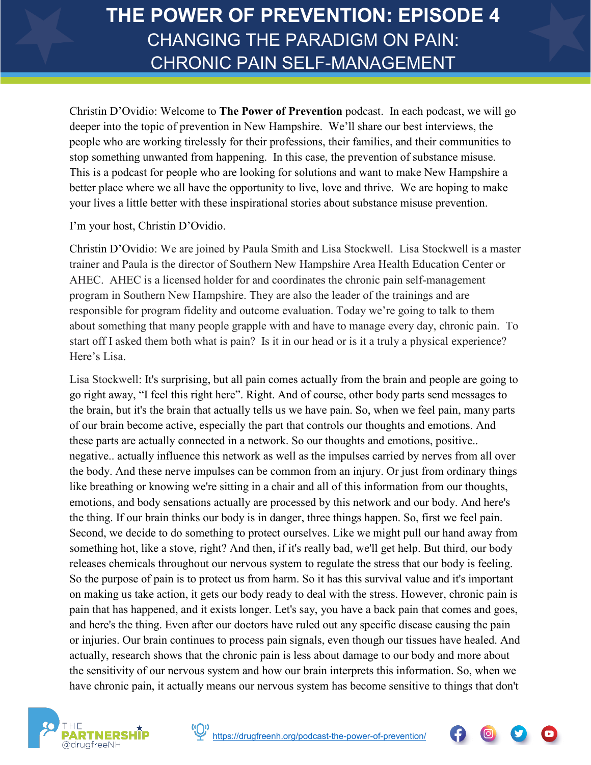Christin D'Ovidio: Welcome to **The Power of Prevention** podcast. In each podcast, we will go deeper into the topic of prevention in New Hampshire. We'll share our best interviews, the people who are working tirelessly for their professions, their families, and their communities to stop something unwanted from happening. In this case, the prevention of substance misuse. This is a podcast for people who are looking for solutions and want to make New Hampshire a better place where we all have the opportunity to live, love and thrive. We are hoping to make your lives a little better with these inspirational stories about substance misuse prevention.

I'm your host, Christin D'Ovidio.

Christin D'Ovidio: We are joined by Paula Smith and Lisa Stockwell. Lisa Stockwell is a master trainer and Paula is the director of Southern New Hampshire Area Health Education Center or AHEC. AHEC is a licensed holder for and coordinates the chronic pain self-management program in Southern New Hampshire. They are also the leader of the trainings and are responsible for program fidelity and outcome evaluation. Today we're going to talk to them about something that many people grapple with and have to manage every day, chronic pain. To start off I asked them both what is pain? Is it in our head or is it a truly a physical experience? Here's Lisa.

Lisa Stockwell: It's surprising, but all pain comes actually from the brain and people are going to go right away, "I feel this right here". Right. And of course, other body parts send messages to the brain, but it's the brain that actually tells us we have pain. So, when we feel pain, many parts of our brain become active, especially the part that controls our thoughts and emotions. And these parts are actually connected in a network. So our thoughts and emotions, positive.. negative.. actually influence this network as well as the impulses carried by nerves from all over the body. And these nerve impulses can be common from an injury. Or just from ordinary things like breathing or knowing we're sitting in a chair and all of this information from our thoughts, emotions, and body sensations actually are processed by this network and our body. And here's the thing. If our brain thinks our body is in danger, three things happen. So, first we feel pain. Second, we decide to do something to protect ourselves. Like we might pull our hand away from something hot, like a stove, right? And then, if it's really bad, we'll get help. But third, our body releases chemicals throughout our nervous system to regulate the stress that our body is feeling. So the purpose of pain is to protect us from harm. So it has this survival value and it's important on making us take action, it gets our body ready to deal with the stress. However, chronic pain is pain that has happened, and it exists longer. Let's say, you have a back pain that comes and goes, and here's the thing. Even after our doctors have ruled out any specific disease causing the pain or injuries. Our brain continues to process pain signals, even though our tissues have healed. And actually, research shows that the chronic pain is less about damage to our body and more about the sensitivity of our nervous system and how our brain interprets this information. So, when we have chronic pain, it actually means our nervous system has become sensitive to things that don't





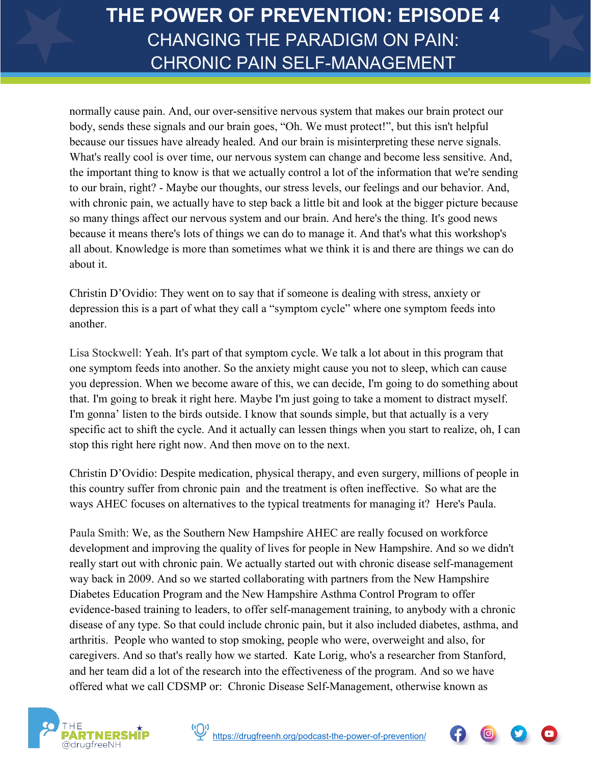normally cause pain. And, our over-sensitive nervous system that makes our brain protect our body, sends these signals and our brain goes, "Oh. We must protect!", but this isn't helpful because our tissues have already healed. And our brain is misinterpreting these nerve signals. What's really cool is over time, our nervous system can change and become less sensitive. And, the important thing to know is that we actually control a lot of the information that we're sending to our brain, right? - Maybe our thoughts, our stress levels, our feelings and our behavior. And, with chronic pain, we actually have to step back a little bit and look at the bigger picture because so many things affect our nervous system and our brain. And here's the thing. It's good news because it means there's lots of things we can do to manage it. And that's what this workshop's all about. Knowledge is more than sometimes what we think it is and there are things we can do about it.

Christin D'Ovidio: They went on to say that if someone is dealing with stress, anxiety or depression this is a part of what they call a "symptom cycle" where one symptom feeds into another.

Lisa Stockwell: Yeah. It's part of that symptom cycle. We talk a lot about in this program that one symptom feeds into another. So the anxiety might cause you not to sleep, which can cause you depression. When we become aware of this, we can decide, I'm going to do something about that. I'm going to break it right here. Maybe I'm just going to take a moment to distract myself. I'm gonna' listen to the birds outside. I know that sounds simple, but that actually is a very specific act to shift the cycle. And it actually can lessen things when you start to realize, oh, I can stop this right here right now. And then move on to the next.

Christin D'Ovidio: Despite medication, physical therapy, and even surgery, millions of people in this country suffer from chronic pain and the treatment is often ineffective. So what are the ways AHEC focuses on alternatives to the typical treatments for managing it? Here's Paula.

Paula Smith: We, as the Southern New Hampshire AHEC are really focused on workforce development and improving the quality of lives for people in New Hampshire. And so we didn't really start out with chronic pain. We actually started out with chronic disease self-management way back in 2009. And so we started collaborating with partners from the New Hampshire Diabetes Education Program and the New Hampshire Asthma Control Program to offer evidence-based training to leaders, to offer self-management training, to anybody with a chronic disease of any type. So that could include chronic pain, but it also included diabetes, asthma, and arthritis. People who wanted to stop smoking, people who were, overweight and also, for caregivers. And so that's really how we started. Kate Lorig, who's a researcher from Stanford, and her team did a lot of the research into the effectiveness of the program. And so we have offered what we call CDSMP or: Chronic Disease Self-Management, otherwise known as



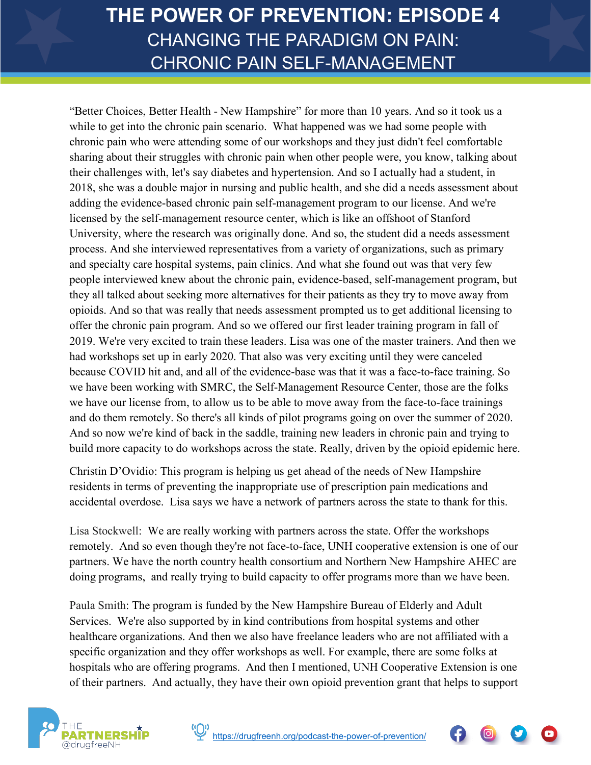"Better Choices, Better Health - New Hampshire" for more than 10 years. And so it took us a while to get into the chronic pain scenario. What happened was we had some people with chronic pain who were attending some of our workshops and they just didn't feel comfortable sharing about their struggles with chronic pain when other people were, you know, talking about their challenges with, let's say diabetes and hypertension. And so I actually had a student, in 2018, she was a double major in nursing and public health, and she did a needs assessment about adding the evidence-based chronic pain self-management program to our license. And we're licensed by the self-management resource center, which is like an offshoot of Stanford University, where the research was originally done. And so, the student did a needs assessment process. And she interviewed representatives from a variety of organizations, such as primary and specialty care hospital systems, pain clinics. And what she found out was that very few people interviewed knew about the chronic pain, evidence-based, self-management program, but they all talked about seeking more alternatives for their patients as they try to move away from opioids. And so that was really that needs assessment prompted us to get additional licensing to offer the chronic pain program. And so we offered our first leader training program in fall of 2019. We're very excited to train these leaders. Lisa was one of the master trainers. And then we had workshops set up in early 2020. That also was very exciting until they were canceled because COVID hit and, and all of the evidence-base was that it was a face-to-face training. So we have been working with SMRC, the Self-Management Resource Center, those are the folks we have our license from, to allow us to be able to move away from the face-to-face trainings and do them remotely. So there's all kinds of pilot programs going on over the summer of 2020. And so now we're kind of back in the saddle, training new leaders in chronic pain and trying to build more capacity to do workshops across the state. Really, driven by the opioid epidemic here.

Christin D'Ovidio: This program is helping us get ahead of the needs of New Hampshire residents in terms of preventing the inappropriate use of prescription pain medications and accidental overdose. Lisa says we have a network of partners across the state to thank for this.

Lisa Stockwell: We are really working with partners across the state. Offer the workshops remotely. And so even though they're not face-to-face, UNH cooperative extension is one of our partners. We have the north country health consortium and Northern New Hampshire AHEC are doing programs, and really trying to build capacity to offer programs more than we have been.

Paula Smith: The program is funded by the New Hampshire Bureau of Elderly and Adult Services. We're also supported by in kind contributions from hospital systems and other healthcare organizations. And then we also have freelance leaders who are not affiliated with a specific organization and they offer workshops as well. For example, there are some folks at hospitals who are offering programs. And then I mentioned, UNH Cooperative Extension is one of their partners. And actually, they have their own opioid prevention grant that helps to support



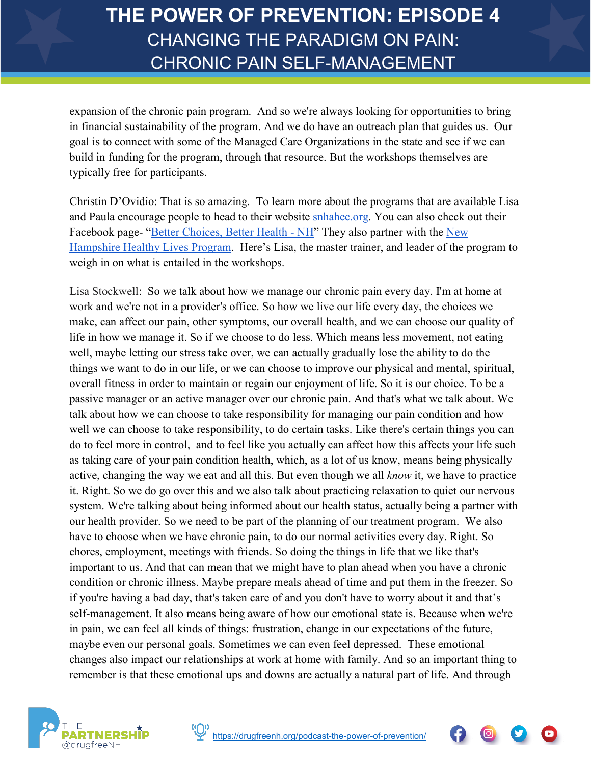expansion of the chronic pain program. And so we're always looking for opportunities to bring in financial sustainability of the program. And we do have an outreach plan that guides us. Our goal is to connect with some of the Managed Care Organizations in the state and see if we can build in funding for the program, through that resource. But the workshops themselves are typically free for participants.

Christin D'Ovidio: That is so amazing. To learn more about the programs that are available Lisa and Paula encourage people to head to their website [snhahec.org.](https://www.snhahec.org/) You can also check out their Facebook page- ["Better Choices, Better Health -](https://www.facebook.com/Better-Choices-Better-Health-NH-103840278185162) NH" They also partner with the New [Hampshire Healthy Lives Program.](https://nhhealthylives.org/) Here's Lisa, the master trainer, and leader of the program to weigh in on what is entailed in the workshops.

Lisa Stockwell: So we talk about how we manage our chronic pain every day. I'm at home at work and we're not in a provider's office. So how we live our life every day, the choices we make, can affect our pain, other symptoms, our overall health, and we can choose our quality of life in how we manage it. So if we choose to do less. Which means less movement, not eating well, maybe letting our stress take over, we can actually gradually lose the ability to do the things we want to do in our life, or we can choose to improve our physical and mental, spiritual, overall fitness in order to maintain or regain our enjoyment of life. So it is our choice. To be a passive manager or an active manager over our chronic pain. And that's what we talk about. We talk about how we can choose to take responsibility for managing our pain condition and how well we can choose to take responsibility, to do certain tasks. Like there's certain things you can do to feel more in control, and to feel like you actually can affect how this affects your life such as taking care of your pain condition health, which, as a lot of us know, means being physically active, changing the way we eat and all this. But even though we all *know* it, we have to practice it. Right. So we do go over this and we also talk about practicing relaxation to quiet our nervous system. We're talking about being informed about our health status, actually being a partner with our health provider. So we need to be part of the planning of our treatment program. We also have to choose when we have chronic pain, to do our normal activities every day. Right. So chores, employment, meetings with friends. So doing the things in life that we like that's important to us. And that can mean that we might have to plan ahead when you have a chronic condition or chronic illness. Maybe prepare meals ahead of time and put them in the freezer. So if you're having a bad day, that's taken care of and you don't have to worry about it and that's self-management. It also means being aware of how our emotional state is. Because when we're in pain, we can feel all kinds of things: frustration, change in our expectations of the future, maybe even our personal goals. Sometimes we can even feel depressed. These emotional changes also impact our relationships at work at home with family. And so an important thing to remember is that these emotional ups and downs are actually a natural part of life. And through





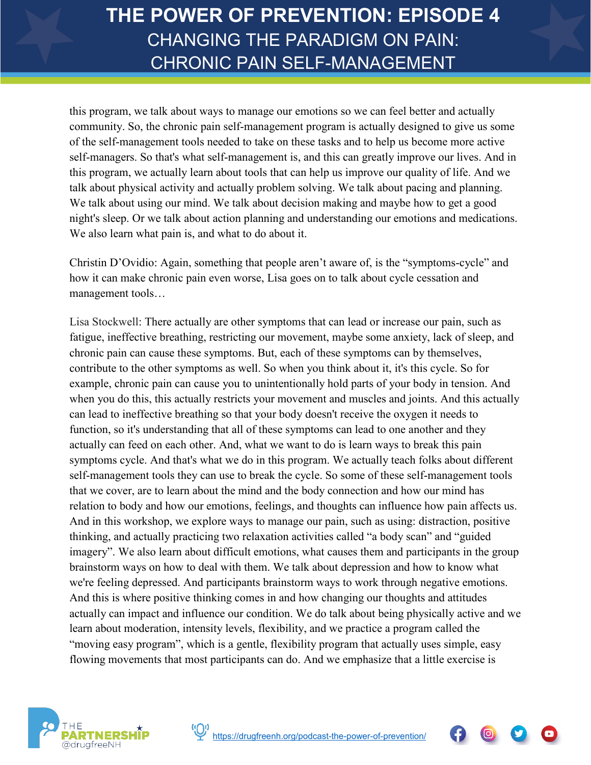this program, we talk about ways to manage our emotions so we can feel better and actually community. So, the chronic pain self-management program is actually designed to give us some of the self-management tools needed to take on these tasks and to help us become more active self-managers. So that's what self-management is, and this can greatly improve our lives. And in this program, we actually learn about tools that can help us improve our quality of life. And we talk about physical activity and actually problem solving. We talk about pacing and planning. We talk about using our mind. We talk about decision making and maybe how to get a good night's sleep. Or we talk about action planning and understanding our emotions and medications. We also learn what pain is, and what to do about it.

Christin D'Ovidio: Again, something that people aren't aware of, is the "symptoms-cycle" and how it can make chronic pain even worse, Lisa goes on to talk about cycle cessation and management tools…

Lisa Stockwell: There actually are other symptoms that can lead or increase our pain, such as fatigue, ineffective breathing, restricting our movement, maybe some anxiety, lack of sleep, and chronic pain can cause these symptoms. But, each of these symptoms can by themselves, contribute to the other symptoms as well. So when you think about it, it's this cycle. So for example, chronic pain can cause you to unintentionally hold parts of your body in tension. And when you do this, this actually restricts your movement and muscles and joints. And this actually can lead to ineffective breathing so that your body doesn't receive the oxygen it needs to function, so it's understanding that all of these symptoms can lead to one another and they actually can feed on each other. And, what we want to do is learn ways to break this pain symptoms cycle. And that's what we do in this program. We actually teach folks about different self-management tools they can use to break the cycle. So some of these self-management tools that we cover, are to learn about the mind and the body connection and how our mind has relation to body and how our emotions, feelings, and thoughts can influence how pain affects us. And in this workshop, we explore ways to manage our pain, such as using: distraction, positive thinking, and actually practicing two relaxation activities called "a body scan" and "guided imagery". We also learn about difficult emotions, what causes them and participants in the group brainstorm ways on how to deal with them. We talk about depression and how to know what we're feeling depressed. And participants brainstorm ways to work through negative emotions. And this is where positive thinking comes in and how changing our thoughts and attitudes actually can impact and influence our condition. We do talk about being physically active and we learn about moderation, intensity levels, flexibility, and we practice a program called the "moving easy program", which is a gentle, flexibility program that actually uses simple, easy flowing movements that most participants can do. And we emphasize that a little exercise is



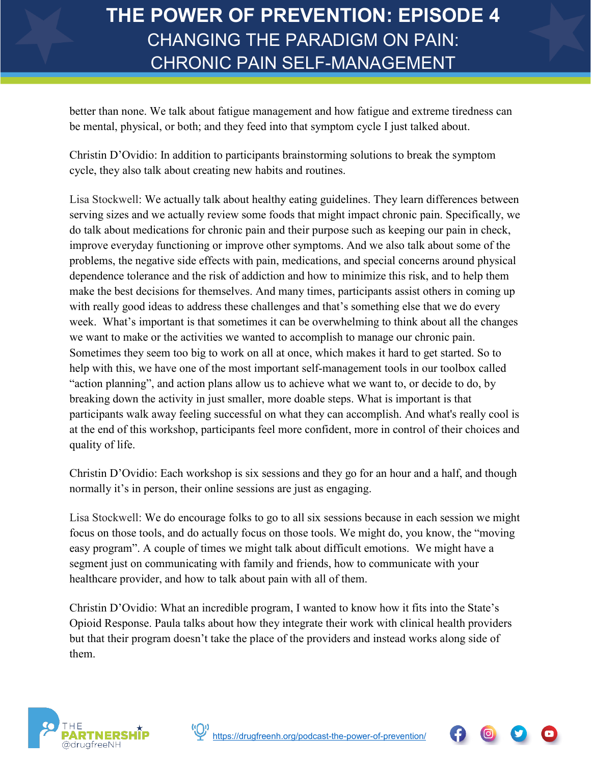better than none. We talk about fatigue management and how fatigue and extreme tiredness can be mental, physical, or both; and they feed into that symptom cycle I just talked about.

Christin D'Ovidio: In addition to participants brainstorming solutions to break the symptom cycle, they also talk about creating new habits and routines.

Lisa Stockwell: We actually talk about healthy eating guidelines. They learn differences between serving sizes and we actually review some foods that might impact chronic pain. Specifically, we do talk about medications for chronic pain and their purpose such as keeping our pain in check, improve everyday functioning or improve other symptoms. And we also talk about some of the problems, the negative side effects with pain, medications, and special concerns around physical dependence tolerance and the risk of addiction and how to minimize this risk, and to help them make the best decisions for themselves. And many times, participants assist others in coming up with really good ideas to address these challenges and that's something else that we do every week. What's important is that sometimes it can be overwhelming to think about all the changes we want to make or the activities we wanted to accomplish to manage our chronic pain. Sometimes they seem too big to work on all at once, which makes it hard to get started. So to help with this, we have one of the most important self-management tools in our toolbox called "action planning", and action plans allow us to achieve what we want to, or decide to do, by breaking down the activity in just smaller, more doable steps. What is important is that participants walk away feeling successful on what they can accomplish. And what's really cool is at the end of this workshop, participants feel more confident, more in control of their choices and quality of life.

Christin D'Ovidio: Each workshop is six sessions and they go for an hour and a half, and though normally it's in person, their online sessions are just as engaging.

Lisa Stockwell: We do encourage folks to go to all six sessions because in each session we might focus on those tools, and do actually focus on those tools. We might do, you know, the "moving easy program". A couple of times we might talk about difficult emotions. We might have a segment just on communicating with family and friends, how to communicate with your healthcare provider, and how to talk about pain with all of them.

Christin D'Ovidio: What an incredible program, I wanted to know how it fits into the State's Opioid Response. Paula talks about how they integrate their work with clinical health providers but that their program doesn't take the place of the providers and instead works along side of them.



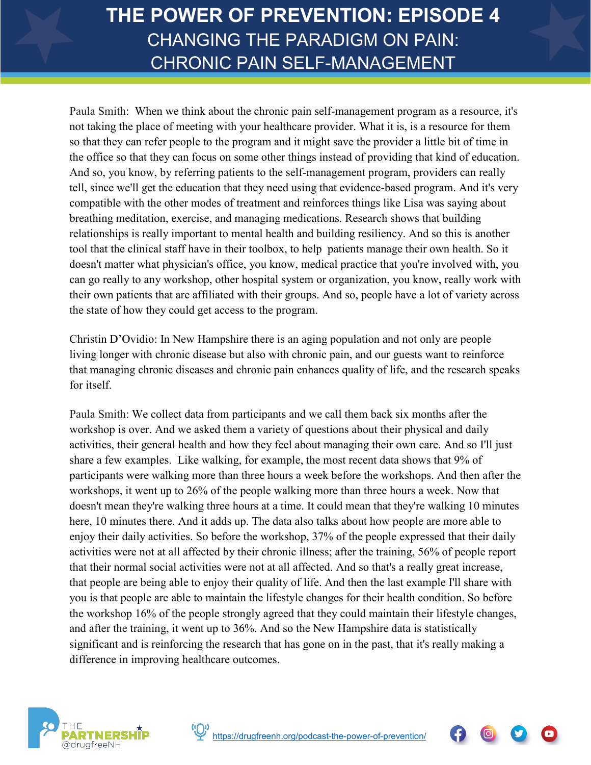Paula Smith: When we think about the chronic pain self-management program as a resource, it's not taking the place of meeting with your healthcare provider. What it is, is a resource for them so that they can refer people to the program and it might save the provider a little bit of time in the office so that they can focus on some other things instead of providing that kind of education. And so, you know, by referring patients to the self-management program, providers can really tell, since we'll get the education that they need using that evidence-based program. And it's very compatible with the other modes of treatment and reinforces things like Lisa was saying about breathing meditation, exercise, and managing medications. Research shows that building relationships is really important to mental health and building resiliency. And so this is another tool that the clinical staff have in their toolbox, to help patients manage their own health. So it doesn't matter what physician's office, you know, medical practice that you're involved with, you can go really to any workshop, other hospital system or organization, you know, really work with their own patients that are affiliated with their groups. And so, people have a lot of variety across the state of how they could get access to the program.

Christin D'Ovidio: In New Hampshire there is an aging population and not only are people living longer with chronic disease but also with chronic pain, and our guests want to reinforce that managing chronic diseases and chronic pain enhances quality of life, and the research speaks for itself.

Paula Smith: We collect data from participants and we call them back six months after the workshop is over. And we asked them a variety of questions about their physical and daily activities, their general health and how they feel about managing their own care. And so I'll just share a few examples. Like walking, for example, the most recent data shows that 9% of participants were walking more than three hours a week before the workshops. And then after the workshops, it went up to 26% of the people walking more than three hours a week. Now that doesn't mean they're walking three hours at a time. It could mean that they're walking 10 minutes here, 10 minutes there. And it adds up. The data also talks about how people are more able to enjoy their daily activities. So before the workshop, 37% of the people expressed that their daily activities were not at all affected by their chronic illness; after the training, 56% of people report that their normal social activities were not at all affected. And so that's a really great increase, that people are being able to enjoy their quality of life. And then the last example I'll share with you is that people are able to maintain the lifestyle changes for their health condition. So before the workshop 16% of the people strongly agreed that they could maintain their lifestyle changes, and after the training, it went up to 36%. And so the New Hampshire data is statistically significant and is reinforcing the research that has gone on in the past, that it's really making a difference in improving healthcare outcomes.





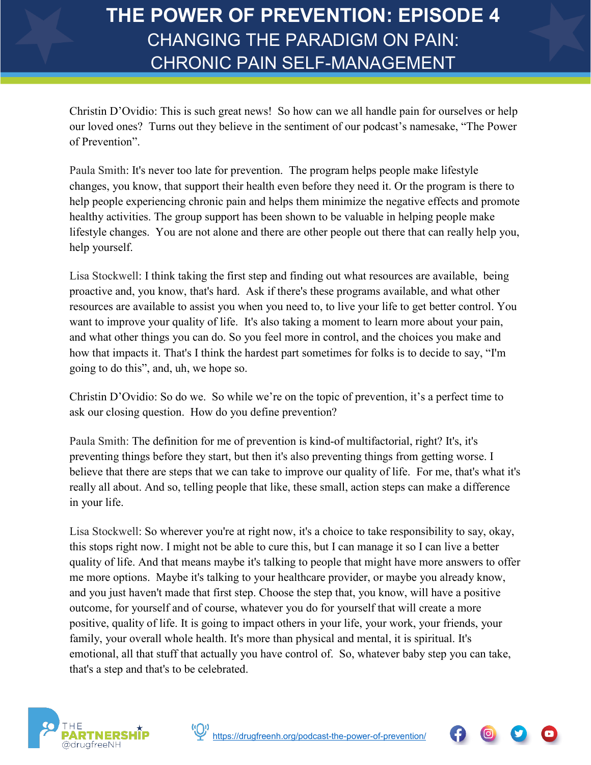Christin D'Ovidio: This is such great news! So how can we all handle pain for ourselves or help our loved ones? Turns out they believe in the sentiment of our podcast's namesake, "The Power of Prevention".

Paula Smith: It's never too late for prevention. The program helps people make lifestyle changes, you know, that support their health even before they need it. Or the program is there to help people experiencing chronic pain and helps them minimize the negative effects and promote healthy activities. The group support has been shown to be valuable in helping people make lifestyle changes. You are not alone and there are other people out there that can really help you, help yourself.

Lisa Stockwell: I think taking the first step and finding out what resources are available, being proactive and, you know, that's hard. Ask if there's these programs available, and what other resources are available to assist you when you need to, to live your life to get better control. You want to improve your quality of life. It's also taking a moment to learn more about your pain, and what other things you can do. So you feel more in control, and the choices you make and how that impacts it. That's I think the hardest part sometimes for folks is to decide to say, "I'm going to do this", and, uh, we hope so.

Christin D'Ovidio: So do we. So while we're on the topic of prevention, it's a perfect time to ask our closing question. How do you define prevention?

Paula Smith: The definition for me of prevention is kind-of multifactorial, right? It's, it's preventing things before they start, but then it's also preventing things from getting worse. I believe that there are steps that we can take to improve our quality of life. For me, that's what it's really all about. And so, telling people that like, these small, action steps can make a difference in your life.

Lisa Stockwell: So wherever you're at right now, it's a choice to take responsibility to say, okay, this stops right now. I might not be able to cure this, but I can manage it so I can live a better quality of life. And that means maybe it's talking to people that might have more answers to offer me more options. Maybe it's talking to your healthcare provider, or maybe you already know, and you just haven't made that first step. Choose the step that, you know, will have a positive outcome, for yourself and of course, whatever you do for yourself that will create a more positive, quality of life. It is going to impact others in your life, your work, your friends, your family, your overall whole health. It's more than physical and mental, it is spiritual. It's emotional, all that stuff that actually you have control of. So, whatever baby step you can take, that's a step and that's to be celebrated.